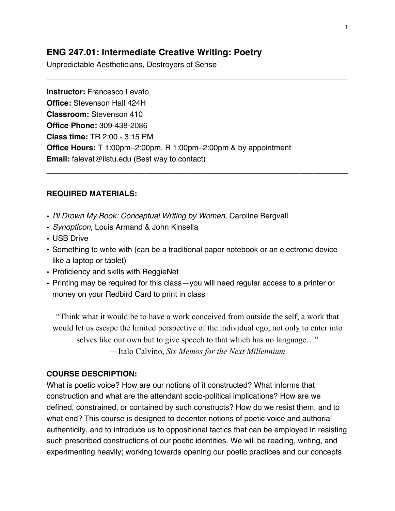# **ENG 247.01: Intermediate Creative Writing: Poetry**

Unpredictable Aestheticians, Destroyers of Sense

**Instructor:** Francesco Levato **Office:** Stevenson Hall 424H **Classroom:** Stevenson 410 **Office Phone:** 309-438-2086 **Class time:** TR 2:00 - 3:15 PM **Office Hours:** T 1:00pm–2:00pm, R 1:00pm–2:00pm & by appointment **Email:** falevat@ilstu.edu (Best way to contact)

\_\_\_\_\_\_\_\_\_\_\_\_\_\_\_\_\_\_\_\_\_\_\_\_\_\_\_\_\_\_\_\_\_\_\_\_\_\_\_\_\_\_\_\_\_\_\_\_\_\_\_\_\_\_\_\_\_\_\_\_\_\_\_\_\_\_\_\_\_\_

\_\_\_\_\_\_\_\_\_\_\_\_\_\_\_\_\_\_\_\_\_\_\_\_\_\_\_\_\_\_\_\_\_\_\_\_\_\_\_\_\_\_\_\_\_\_\_\_\_\_\_\_\_\_\_\_\_\_\_\_\_\_\_\_\_\_\_\_\_\_

## **REQUIRED MATERIALS:**

- *I'll Drown My Book: Conceptual Writing by Women*, Caroline Bergvall
- *Synopticon*, Louis Armand & John Kinsella
- USB Drive
- Something to write with (can be a traditional paper notebook or an electronic device like a laptop or tablet)
- Proficiency and skills with ReggieNet
- Printing may be required for this class—you will need regular access to a printer or money on your Redbird Card to print in class

"Think what it would be to have a work conceived from outside the self, a work that would let us escape the limited perspective of the individual ego, not only to enter into selves like our own but to give speech to that which has no language…" —Italo Calvino, *Six Memos for the Next Millennium*

### **COURSE DESCRIPTION:**

What is poetic voice? How are our notions of it constructed? What informs that construction and what are the attendant socio-political implications? How are we defined, constrained, or contained by such constructs? How do we resist them, and to what end? This course is designed to decenter notions of poetic voice and authorial authenticity, and to introduce us to oppositional tactics that can be employed in resisting such prescribed constructions of our poetic identities. We will be reading, writing, and experimenting heavily; working towards opening our poetic practices and our concepts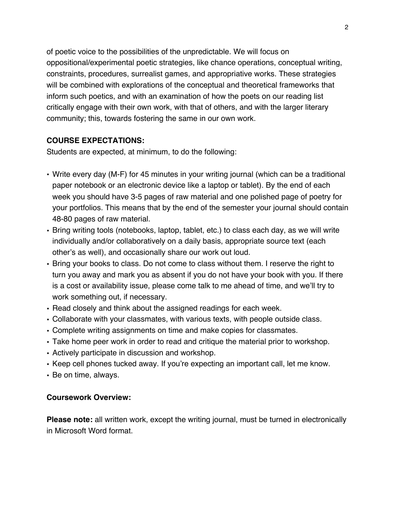of poetic voice to the possibilities of the unpredictable. We will focus on oppositional/experimental poetic strategies, like chance operations, conceptual writing, constraints, procedures, surrealist games, and appropriative works. These strategies will be combined with explorations of the conceptual and theoretical frameworks that inform such poetics, and with an examination of how the poets on our reading list critically engage with their own work, with that of others, and with the larger literary community; this, towards fostering the same in our own work.

## **COURSE EXPECTATIONS:**

Students are expected, at minimum, to do the following:

- Write every day (M-F) for 45 minutes in your writing journal (which can be a traditional paper notebook or an electronic device like a laptop or tablet). By the end of each week you should have 3-5 pages of raw material and one polished page of poetry for your portfolios. This means that by the end of the semester your journal should contain 48-80 pages of raw material.
- Bring writing tools (notebooks, laptop, tablet, etc.) to class each day, as we will write individually and/or collaboratively on a daily basis, appropriate source text (each other's as well), and occasionally share our work out loud.
- Bring your books to class. Do not come to class without them. I reserve the right to turn you away and mark you as absent if you do not have your book with you. If there is a cost or availability issue, please come talk to me ahead of time, and we'll try to work something out, if necessary.
- Read closely and think about the assigned readings for each week.
- Collaborate with your classmates, with various texts, with people outside class.
- Complete writing assignments on time and make copies for classmates.
- Take home peer work in order to read and critique the material prior to workshop.
- Actively participate in discussion and workshop.
- Keep cell phones tucked away. If you're expecting an important call, let me know.
- Be on time, always.

## **Coursework Overview:**

**Please note:** all written work, except the writing journal, must be turned in electronically in Microsoft Word format.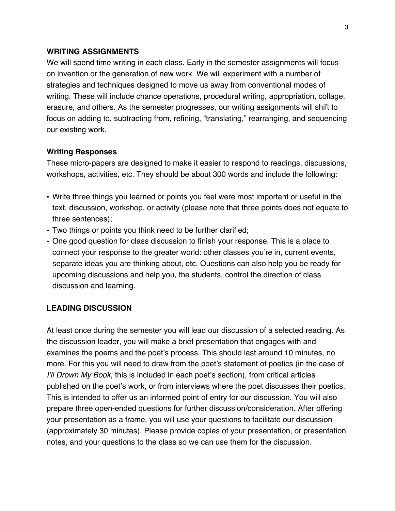### **WRITING ASSIGNMENTS**

We will spend time writing in each class. Early in the semester assignments will focus on invention or the generation of new work. We will experiment with a number of strategies and techniques designed to move us away from conventional modes of writing. These will include chance operations, procedural writing, appropriation, collage, erasure, and others. As the semester progresses, our writing assignments will shift to focus on adding to, subtracting from, refining, "translating," rearranging, and sequencing our existing work.

### **Writing Responses**

These micro-papers are designed to make it easier to respond to readings, discussions, workshops, activities, etc. They should be about 300 words and include the following:

- Write three things you learned or points you feel were most important or useful in the text, discussion, workshop, or activity (please note that three points does not equate to three sentences);
- Two things or points you think need to be further clarified;
- One good question for class discussion to finish your response. This is a place to connect your response to the greater world: other classes you're in, current events, separate ideas you are thinking about, etc. Questions can also help you be ready for upcoming discussions and help you, the students, control the direction of class discussion and learning.

### **LEADING DISCUSSION**

At least once during the semester you will lead our discussion of a selected reading. As the discussion leader, you will make a brief presentation that engages with and examines the poems and the poet's process. This should last around 10 minutes, no more. For this you will need to draw from the poet's statement of poetics (in the case of *I'll Drown My Book*, this is included in each poet's section), from critical articles published on the poet's work, or from interviews where the poet discusses their poetics. This is intended to offer us an informed point of entry for our discussion. You will also prepare three open-ended questions for further discussion/consideration. After offering your presentation as a frame, you will use your questions to facilitate our discussion (approximately 30 minutes). Please provide copies of your presentation, or presentation notes, and your questions to the class so we can use them for the discussion.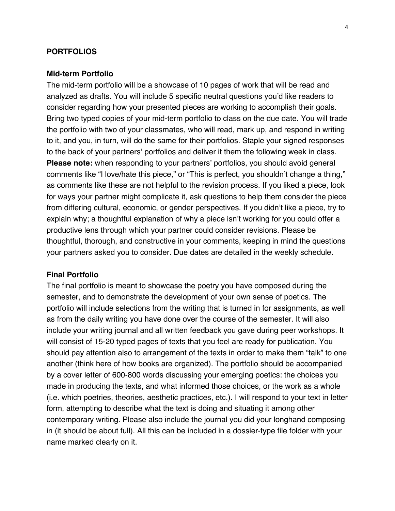#### **PORTFOLIOS**

#### **Mid-term Portfolio**

The mid-term portfolio will be a showcase of 10 pages of work that will be read and analyzed as drafts. You will include 5 specific neutral questions you'd like readers to consider regarding how your presented pieces are working to accomplish their goals. Bring two typed copies of your mid-term portfolio to class on the due date. You will trade the portfolio with two of your classmates, who will read, mark up, and respond in writing to it, and you, in turn, will do the same for their portfolios. Staple your signed responses to the back of your partners' portfolios and deliver it them the following week in class. **Please note:** when responding to your partners' portfolios, you should avoid general comments like "I love/hate this piece," or "This is perfect, you shouldn't change a thing," as comments like these are not helpful to the revision process. If you liked a piece, look for ways your partner might complicate it, ask questions to help them consider the piece from differing cultural, economic, or gender perspectives. If you didn't like a piece, try to explain why; a thoughtful explanation of why a piece isn't working for you could offer a productive lens through which your partner could consider revisions. Please be thoughtful, thorough, and constructive in your comments, keeping in mind the questions your partners asked you to consider. Due dates are detailed in the weekly schedule.

#### **Final Portfolio**

The final portfolio is meant to showcase the poetry you have composed during the semester, and to demonstrate the development of your own sense of poetics. The portfolio will include selections from the writing that is turned in for assignments, as well as from the daily writing you have done over the course of the semester. It will also include your writing journal and all written feedback you gave during peer workshops. It will consist of 15-20 typed pages of texts that you feel are ready for publication. You should pay attention also to arrangement of the texts in order to make them "talk" to one another (think here of how books are organized). The portfolio should be accompanied by a cover letter of 600-800 words discussing your emerging poetics: the choices you made in producing the texts, and what informed those choices, or the work as a whole (i.e. which poetries, theories, aesthetic practices, etc.). I will respond to your text in letter form, attempting to describe what the text is doing and situating it among other contemporary writing. Please also include the journal you did your longhand composing in (it should be about full). All this can be included in a dossier-type file folder with your name marked clearly on it.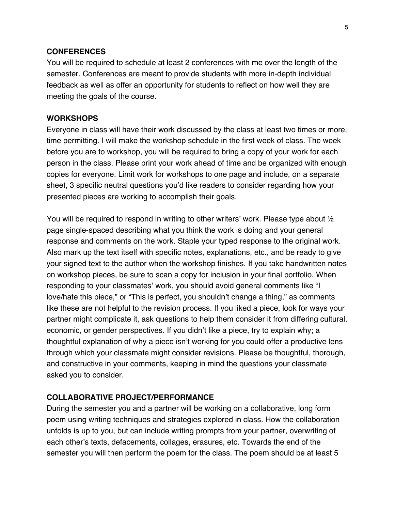#### **CONFERENCES**

You will be required to schedule at least 2 conferences with me over the length of the semester. Conferences are meant to provide students with more in-depth individual feedback as well as offer an opportunity for students to reflect on how well they are meeting the goals of the course.

### **WORKSHOPS**

Everyone in class will have their work discussed by the class at least two times or more, time permitting. I will make the workshop schedule in the first week of class. The week before you are to workshop, you will be required to bring a copy of your work for each person in the class. Please print your work ahead of time and be organized with enough copies for everyone. Limit work for workshops to one page and include, on a separate sheet, 3 specific neutral questions you'd like readers to consider regarding how your presented pieces are working to accomplish their goals.

You will be required to respond in writing to other writers' work. Please type about  $\frac{1}{2}$ page single-spaced describing what you think the work is doing and your general response and comments on the work. Staple your typed response to the original work. Also mark up the text itself with specific notes, explanations, etc., and be ready to give your signed text to the author when the workshop finishes. If you take handwritten notes on workshop pieces, be sure to scan a copy for inclusion in your final portfolio. When responding to your classmates' work, you should avoid general comments like "I love/hate this piece," or "This is perfect, you shouldn't change a thing," as comments like these are not helpful to the revision process. If you liked a piece, look for ways your partner might complicate it, ask questions to help them consider it from differing cultural, economic, or gender perspectives. If you didn't like a piece, try to explain why; a thoughtful explanation of why a piece isn't working for you could offer a productive lens through which your classmate might consider revisions. Please be thoughtful, thorough, and constructive in your comments, keeping in mind the questions your classmate asked you to consider.

### **COLLABORATIVE PROJECT/PERFORMANCE**

During the semester you and a partner will be working on a collaborative, long form poem using writing techniques and strategies explored in class. How the collaboration unfolds is up to you, but can include writing prompts from your partner, overwriting of each other's texts, defacements, collages, erasures, etc. Towards the end of the semester you will then perform the poem for the class. The poem should be at least 5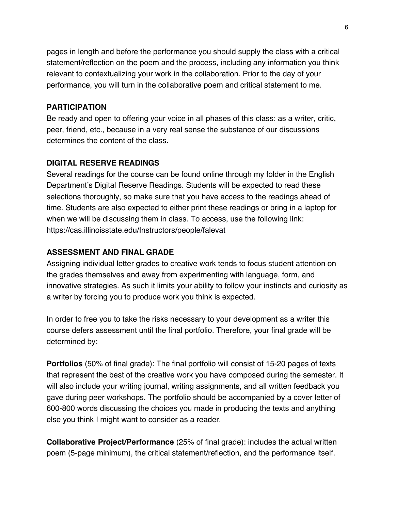pages in length and before the performance you should supply the class with a critical statement/reflection on the poem and the process, including any information you think relevant to contextualizing your work in the collaboration. Prior to the day of your performance, you will turn in the collaborative poem and critical statement to me.

## **PARTICIPATION**

Be ready and open to offering your voice in all phases of this class: as a writer, critic, peer, friend, etc., because in a very real sense the substance of our discussions determines the content of the class.

## **DIGITAL RESERVE READINGS**

Several readings for the course can be found online through my folder in the English Department's Digital Reserve Readings. Students will be expected to read these selections thoroughly, so make sure that you have access to the readings ahead of time. Students are also expected to either print these readings or bring in a laptop for when we will be discussing them in class. To access, use the following link: https://cas.illinoisstate.edu/Instructors/people/falevat

## **ASSESSMENT AND FINAL GRADE**

Assigning individual letter grades to creative work tends to focus student attention on the grades themselves and away from experimenting with language, form, and innovative strategies. As such it limits your ability to follow your instincts and curiosity as a writer by forcing you to produce work you think is expected.

In order to free you to take the risks necessary to your development as a writer this course defers assessment until the final portfolio. Therefore, your final grade will be determined by:

**Portfolios** (50% of final grade): The final portfolio will consist of 15-20 pages of texts that represent the best of the creative work you have composed during the semester. It will also include your writing journal, writing assignments, and all written feedback you gave during peer workshops. The portfolio should be accompanied by a cover letter of 600-800 words discussing the choices you made in producing the texts and anything else you think I might want to consider as a reader.

**Collaborative Project/Performance** (25% of final grade): includes the actual written poem (5-page minimum), the critical statement/reflection, and the performance itself.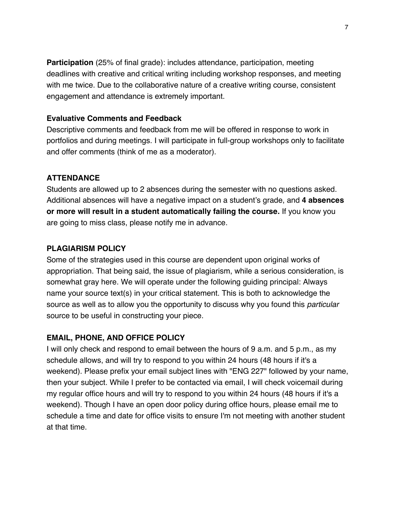**Participation** (25% of final grade): includes attendance, participation, meeting deadlines with creative and critical writing including workshop responses, and meeting with me twice. Due to the collaborative nature of a creative writing course, consistent engagement and attendance is extremely important.

## **Evaluative Comments and Feedback**

Descriptive comments and feedback from me will be offered in response to work in portfolios and during meetings. I will participate in full-group workshops only to facilitate and offer comments (think of me as a moderator).

# **ATTENDANCE**

Students are allowed up to 2 absences during the semester with no questions asked. Additional absences will have a negative impact on a student's grade, and **4 absences or more will result in a student automatically failing the course.** If you know you are going to miss class, please notify me in advance.

# **PLAGIARISM POLICY**

Some of the strategies used in this course are dependent upon original works of appropriation. That being said, the issue of plagiarism, while a serious consideration, is somewhat gray here. We will operate under the following guiding principal: Always name your source text(s) in your critical statement. This is both to acknowledge the source as well as to allow you the opportunity to discuss why you found this *particular* source to be useful in constructing your piece.

# **EMAIL, PHONE, AND OFFICE POLICY**

I will only check and respond to email between the hours of 9 a.m. and 5 p.m., as my schedule allows, and will try to respond to you within 24 hours (48 hours if it's a weekend). Please prefix your email subject lines with "ENG 227" followed by your name, then your subject. While I prefer to be contacted via email, I will check voicemail during my regular office hours and will try to respond to you within 24 hours (48 hours if it's a weekend). Though I have an open door policy during office hours, please email me to schedule a time and date for office visits to ensure I'm not meeting with another student at that time.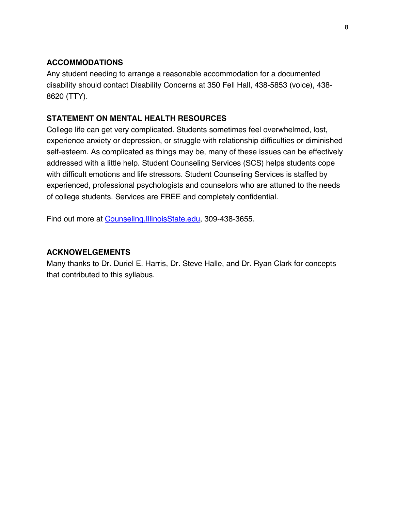## **ACCOMMODATIONS**

Any student needing to arrange a reasonable accommodation for a documented disability should contact Disability Concerns at 350 Fell Hall, 438-5853 (voice), 438- 8620 (TTY).

# **STATEMENT ON MENTAL HEALTH RESOURCES**

College life can get very complicated. Students sometimes feel overwhelmed, lost, experience anxiety or depression, or struggle with relationship difficulties or diminished self-esteem. As complicated as things may be, many of these issues can be effectively addressed with a little help. Student Counseling Services (SCS) helps students cope with difficult emotions and life stressors. Student Counseling Services is staffed by experienced, professional psychologists and counselors who are attuned to the needs of college students. Services are FREE and completely confidential.

Find out more at Counseling.IllinoisState.edu, 309-438-3655.

## **ACKNOWELGEMENTS**

Many thanks to Dr. Duriel E. Harris, Dr. Steve Halle, and Dr. Ryan Clark for concepts that contributed to this syllabus.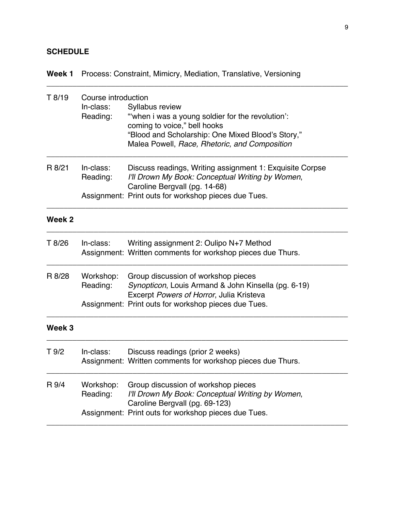# **SCHEDULE**

# **Week 1** Process: Constraint, Mimicry, Mediation, Translative, Versioning

| T 8/19            | Course introduction<br>In-class:<br>Reading: | Syllabus review<br>"when i was a young soldier for the revolution':<br>coming to voice," bell hooks<br>"Blood and Scholarship: One Mixed Blood's Story,"<br>Malea Powell, Race, Rhetoric, and Composition |
|-------------------|----------------------------------------------|-----------------------------------------------------------------------------------------------------------------------------------------------------------------------------------------------------------|
| R 8/21            | In-class:<br>Reading:                        | Discuss readings, Writing assignment 1: Exquisite Corpse<br>I'll Drown My Book: Conceptual Writing by Women,<br>Caroline Bergvall (pg. 14-68)<br>Assignment: Print outs for workshop pieces due Tues.     |
| Week 2            |                                              |                                                                                                                                                                                                           |
| T 8/26            | In-class:                                    | Writing assignment 2: Oulipo N+7 Method<br>Assignment: Written comments for workshop pieces due Thurs.                                                                                                    |
| R 8/28            | Workshop:<br>Reading:                        | Group discussion of workshop pieces<br>Synopticon, Louis Armand & John Kinsella (pg. 6-19)<br>Excerpt Powers of Horror, Julia Kristeva<br>Assignment: Print outs for workshop pieces due Tues.            |
| Week <sub>3</sub> |                                              |                                                                                                                                                                                                           |
| T 9/2             | In-class:                                    | Discuss readings (prior 2 weeks)<br>Assignment: Written comments for workshop pieces due Thurs.                                                                                                           |
| R 9/4             | Workshop:<br>Reading:                        | Group discussion of workshop pieces<br>I'll Drown My Book: Conceptual Writing by Women,<br>Caroline Bergvall (pg. 69-123)<br>Assignment: Print outs for workshop pieces due Tues.                         |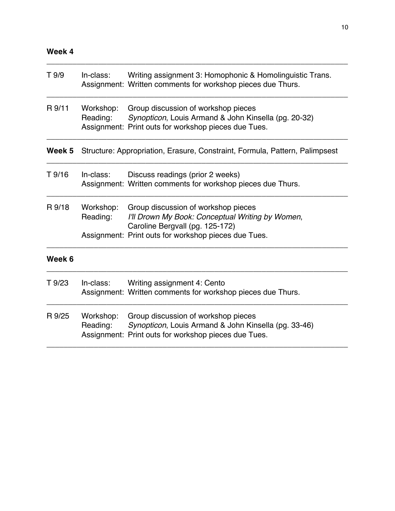# **Week 4**

| T 9/9  | In-class:             | Writing assignment 3: Homophonic & Homolinguistic Trans.<br>Assignment: Written comments for workshop pieces due Thurs.                                                            |
|--------|-----------------------|------------------------------------------------------------------------------------------------------------------------------------------------------------------------------------|
| R 9/11 | Workshop:<br>Reading: | Group discussion of workshop pieces<br>Synopticon, Louis Armand & John Kinsella (pg. 20-32)<br>Assignment: Print outs for workshop pieces due Tues.                                |
| Week 5 |                       | Structure: Appropriation, Erasure, Constraint, Formula, Pattern, Palimpsest                                                                                                        |
| T 9/16 | In-class:             | Discuss readings (prior 2 weeks)<br>Assignment: Written comments for workshop pieces due Thurs.                                                                                    |
| R 9/18 | Workshop:<br>Reading: | Group discussion of workshop pieces<br>I'll Drown My Book: Conceptual Writing by Women,<br>Caroline Bergvall (pg. 125-172)<br>Assignment: Print outs for workshop pieces due Tues. |
| Week 6 |                       |                                                                                                                                                                                    |
| T 9/23 | In-class:             | Writing assignment 4: Cento<br>Assignment: Written comments for workshop pieces due Thurs.                                                                                         |
| R 9/25 | Workshop:<br>Reading: | Group discussion of workshop pieces<br>Synopticon, Louis Armand & John Kinsella (pg. 33-46)<br>Assignment: Print outs for workshop pieces due Tues.                                |
|        |                       |                                                                                                                                                                                    |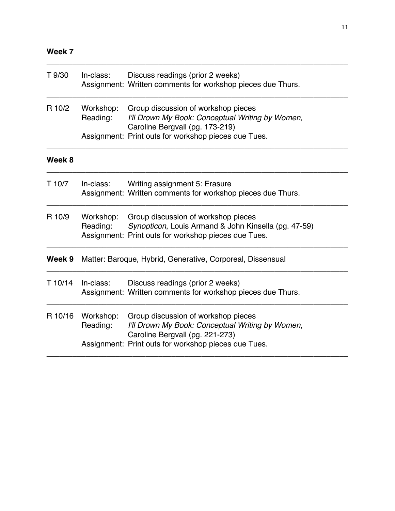# **Week 7**

| T 9/30  | In-class:             | Discuss readings (prior 2 weeks)<br>Assignment: Written comments for workshop pieces due Thurs.                                                     |
|---------|-----------------------|-----------------------------------------------------------------------------------------------------------------------------------------------------|
| R 10/2  | Workshop:<br>Reading: | Group discussion of workshop pieces<br>I'll Drown My Book: Conceptual Writing by Women,<br>Caroline Bergvall (pg. 173-219)                          |
|         |                       | Assignment: Print outs for workshop pieces due Tues.                                                                                                |
| Week 8  |                       |                                                                                                                                                     |
| T 10/7  | In-class:             | Writing assignment 5: Erasure<br>Assignment: Written comments for workshop pieces due Thurs.                                                        |
| R 10/9  | Workshop:<br>Reading: | Group discussion of workshop pieces<br>Synopticon, Louis Armand & John Kinsella (pg. 47-59)<br>Assignment: Print outs for workshop pieces due Tues. |
| Week 9  |                       | Matter: Baroque, Hybrid, Generative, Corporeal, Dissensual                                                                                          |
| T 10/14 | In-class:             | Discuss readings (prior 2 weeks)<br>Assignment: Written comments for workshop pieces due Thurs.                                                     |
| R 10/16 | Workshop:<br>Reading: | Group discussion of workshop pieces<br>I'll Drown My Book: Conceptual Writing by Women,                                                             |
|         |                       | Caroline Bergvall (pg. 221-273)<br>Assignment: Print outs for workshop pieces due Tues.                                                             |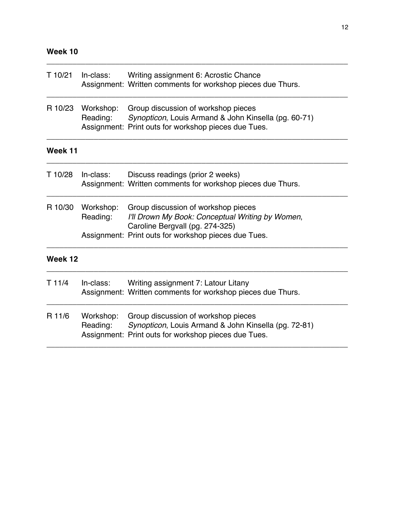# **Week 10**

| T 10/21 | In-class:             | Writing assignment 6: Acrostic Chance<br>Assignment: Written comments for workshop pieces due Thurs.                                                                               |
|---------|-----------------------|------------------------------------------------------------------------------------------------------------------------------------------------------------------------------------|
| R 10/23 | Workshop:<br>Reading: | Group discussion of workshop pieces<br>Synopticon, Louis Armand & John Kinsella (pg. 60-71)<br>Assignment: Print outs for workshop pieces due Tues.                                |
| Week 11 |                       |                                                                                                                                                                                    |
| T 10/28 | In-class:             | Discuss readings (prior 2 weeks)<br>Assignment: Written comments for workshop pieces due Thurs.                                                                                    |
| R 10/30 | Workshop:<br>Reading: | Group discussion of workshop pieces<br>I'll Drown My Book: Conceptual Writing by Women,<br>Caroline Bergvall (pg. 274-325)<br>Assignment: Print outs for workshop pieces due Tues. |
| Week 12 |                       |                                                                                                                                                                                    |
| T 11/4  | In-class:             | Writing assignment 7: Latour Litany<br>Assignment: Written comments for workshop pieces due Thurs.                                                                                 |
| R 11/6  | Workshop:<br>Reading: | Group discussion of workshop pieces<br>Synopticon, Louis Armand & John Kinsella (pg. 72-81)<br>Assignment: Print outs for workshop pieces due Tues.                                |
|         |                       |                                                                                                                                                                                    |